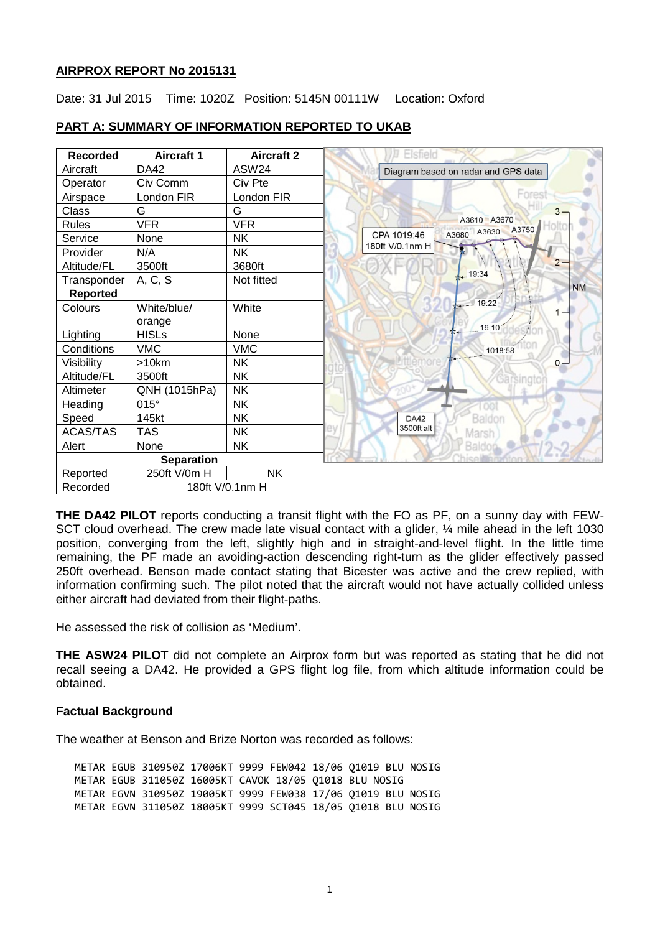### **AIRPROX REPORT No 2015131**

Date: 31 Jul 2015 Time: 1020Z Position: 5145N 00111W Location: Oxford



### **PART A: SUMMARY OF INFORMATION REPORTED TO UKAB**

**THE DA42 PILOT** reports conducting a transit flight with the FO as PF, on a sunny day with FEW-SCT cloud overhead. The crew made late visual contact with a glider,  $\frac{1}{4}$  mile ahead in the left 1030 position, converging from the left, slightly high and in straight-and-level flight. In the little time remaining, the PF made an avoiding-action descending right-turn as the glider effectively passed 250ft overhead. Benson made contact stating that Bicester was active and the crew replied, with information confirming such. The pilot noted that the aircraft would not have actually collided unless either aircraft had deviated from their flight-paths.

He assessed the risk of collision as 'Medium'.

**THE ASW24 PILOT** did not complete an Airprox form but was reported as stating that he did not recall seeing a DA42. He provided a GPS flight log file, from which altitude information could be obtained.

## **Factual Background**

The weather at Benson and Brize Norton was recorded as follows:

METAR EGUB 310950Z 17006KT 9999 FEW042 18/06 Q1019 BLU NOSIG METAR EGUB 311050Z 16005KT CAVOK 18/05 Q1018 BLU NOSIG METAR EGVN 310950Z 19005KT 9999 FEW038 17/06 Q1019 BLU NOSIG METAR EGVN 311050Z 18005KT 9999 SCT045 18/05 Q1018 BLU NOSIG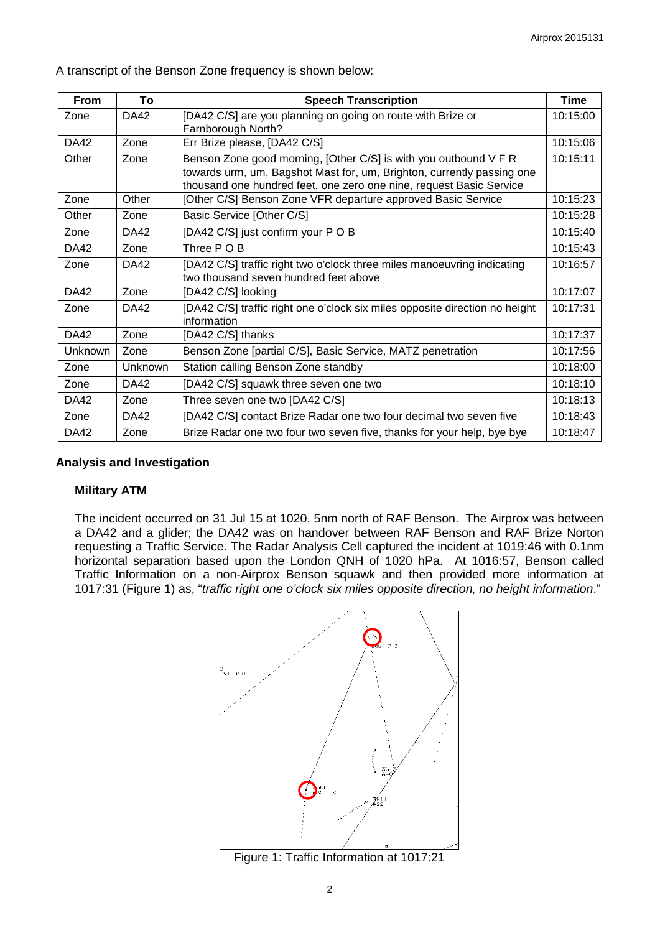A transcript of the Benson Zone frequency is shown below:

| <b>From</b>    | To          | <b>Speech Transcription</b>                                                                                                                                                                                       | <b>Time</b> |
|----------------|-------------|-------------------------------------------------------------------------------------------------------------------------------------------------------------------------------------------------------------------|-------------|
| Zone           | <b>DA42</b> | [DA42 C/S] are you planning on going on route with Brize or<br>Farnborough North?                                                                                                                                 | 10:15:00    |
| <b>DA42</b>    | Zone        | Err Brize please, [DA42 C/S]                                                                                                                                                                                      | 10:15:06    |
| Other          | Zone        | Benson Zone good morning, [Other C/S] is with you outbound V F R<br>towards urm, um, Bagshot Mast for, um, Brighton, currently passing one<br>thousand one hundred feet, one zero one nine, request Basic Service | 10:15:11    |
| Zone           | Other       | [Other C/S] Benson Zone VFR departure approved Basic Service                                                                                                                                                      | 10:15:23    |
| Other          | Zone        | Basic Service [Other C/S]                                                                                                                                                                                         | 10:15:28    |
| Zone           | <b>DA42</b> | [DA42 C/S] just confirm your POB                                                                                                                                                                                  | 10:15:40    |
| <b>DA42</b>    | Zone        | Three POB                                                                                                                                                                                                         | 10:15:43    |
| Zone           | <b>DA42</b> | [DA42 C/S] traffic right two o'clock three miles manoeuvring indicating<br>two thousand seven hundred feet above                                                                                                  | 10:16:57    |
| <b>DA42</b>    | Zone        | [DA42 C/S] looking                                                                                                                                                                                                | 10:17:07    |
| Zone           | <b>DA42</b> | [DA42 C/S] traffic right one o'clock six miles opposite direction no height<br>information                                                                                                                        | 10:17:31    |
| <b>DA42</b>    | Zone        | [DA42 C/S] thanks                                                                                                                                                                                                 | 10:17:37    |
| <b>Unknown</b> | Zone        | Benson Zone [partial C/S], Basic Service, MATZ penetration                                                                                                                                                        | 10:17:56    |
| Zone           | Unknown     | Station calling Benson Zone standby                                                                                                                                                                               | 10:18:00    |
| Zone           | DA42        | [DA42 C/S] squawk three seven one two                                                                                                                                                                             | 10:18:10    |
| <b>DA42</b>    | Zone        | Three seven one two [DA42 C/S]                                                                                                                                                                                    | 10:18:13    |
| Zone           | <b>DA42</b> | [DA42 C/S] contact Brize Radar one two four decimal two seven five                                                                                                                                                | 10:18:43    |
| <b>DA42</b>    | Zone        | Brize Radar one two four two seven five, thanks for your help, bye bye                                                                                                                                            | 10:18:47    |

#### **Analysis and Investigation**

### **Military ATM**

The incident occurred on 31 Jul 15 at 1020, 5nm north of RAF Benson. The Airprox was between a DA42 and a glider; the DA42 was on handover between RAF Benson and RAF Brize Norton requesting a Traffic Service. The Radar Analysis Cell captured the incident at 1019:46 with 0.1nm horizontal separation based upon the London QNH of 1020 hPa. At 1016:57, Benson called Traffic Information on a non-Airprox Benson squawk and then provided more information at 1017:31 (Figure 1) as, "*traffic right one o'clock six miles opposite direction, no height information*."



Figure 1: Traffic Information at 1017:21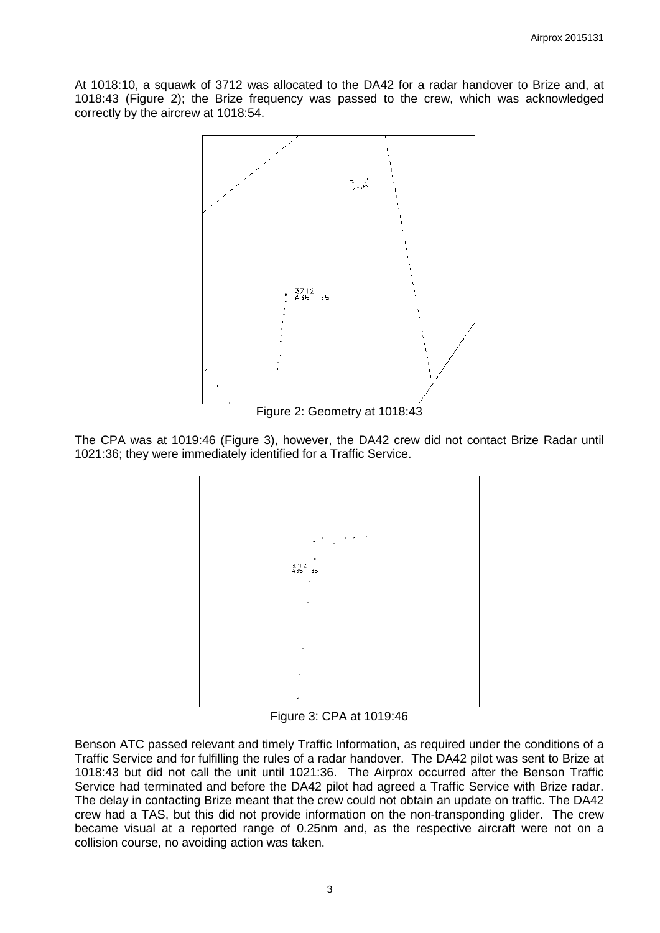At 1018:10, a squawk of 3712 was allocated to the DA42 for a radar handover to Brize and, at 1018:43 (Figure 2); the Brize frequency was passed to the crew, which was acknowledged correctly by the aircrew at 1018:54.



Figure 2: Geometry at 1018:43

The CPA was at 1019:46 (Figure 3), however, the DA42 crew did not contact Brize Radar until 1021:36; they were immediately identified for a Traffic Service.



Figure 3: CPA at 1019:46

Benson ATC passed relevant and timely Traffic Information, as required under the conditions of a Traffic Service and for fulfilling the rules of a radar handover. The DA42 pilot was sent to Brize at 1018:43 but did not call the unit until 1021:36. The Airprox occurred after the Benson Traffic Service had terminated and before the DA42 pilot had agreed a Traffic Service with Brize radar. The delay in contacting Brize meant that the crew could not obtain an update on traffic. The DA42 crew had a TAS, but this did not provide information on the non-transponding glider. The crew became visual at a reported range of 0.25nm and, as the respective aircraft were not on a collision course, no avoiding action was taken.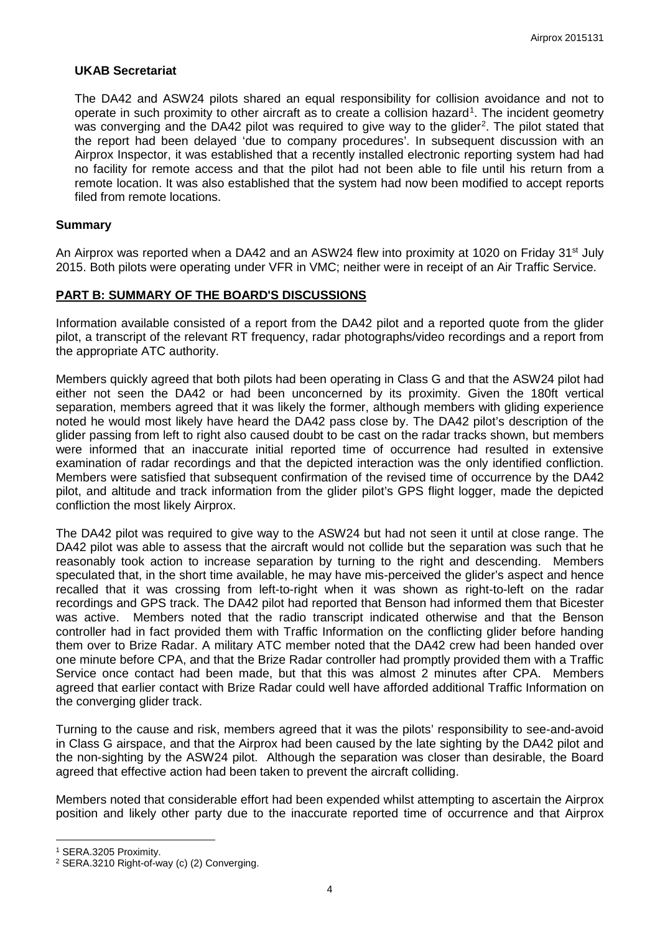#### **UKAB Secretariat**

The DA42 and ASW24 pilots shared an equal responsibility for collision avoidance and not to operate in such proximity to other aircraft as to create a collision hazard<sup>[1](#page-3-0)</sup>. The incident geometry was converging and the DA4[2](#page-3-1) pilot was required to give way to the glider<sup>2</sup>. The pilot stated that the report had been delayed 'due to company procedures'. In subsequent discussion with an Airprox Inspector, it was established that a recently installed electronic reporting system had had no facility for remote access and that the pilot had not been able to file until his return from a remote location. It was also established that the system had now been modified to accept reports filed from remote locations.

#### **Summary**

An Airprox was reported when a DA42 and an ASW24 flew into proximity at 1020 on Friday 31<sup>st</sup> July 2015. Both pilots were operating under VFR in VMC; neither were in receipt of an Air Traffic Service.

### **PART B: SUMMARY OF THE BOARD'S DISCUSSIONS**

Information available consisted of a report from the DA42 pilot and a reported quote from the glider pilot, a transcript of the relevant RT frequency, radar photographs/video recordings and a report from the appropriate ATC authority.

Members quickly agreed that both pilots had been operating in Class G and that the ASW24 pilot had either not seen the DA42 or had been unconcerned by its proximity. Given the 180ft vertical separation, members agreed that it was likely the former, although members with gliding experience noted he would most likely have heard the DA42 pass close by. The DA42 pilot's description of the glider passing from left to right also caused doubt to be cast on the radar tracks shown, but members were informed that an inaccurate initial reported time of occurrence had resulted in extensive examination of radar recordings and that the depicted interaction was the only identified confliction. Members were satisfied that subsequent confirmation of the revised time of occurrence by the DA42 pilot, and altitude and track information from the glider pilot's GPS flight logger, made the depicted confliction the most likely Airprox.

The DA42 pilot was required to give way to the ASW24 but had not seen it until at close range. The DA42 pilot was able to assess that the aircraft would not collide but the separation was such that he reasonably took action to increase separation by turning to the right and descending. Members speculated that, in the short time available, he may have mis-perceived the glider's aspect and hence recalled that it was crossing from left-to-right when it was shown as right-to-left on the radar recordings and GPS track. The DA42 pilot had reported that Benson had informed them that Bicester was active. Members noted that the radio transcript indicated otherwise and that the Benson controller had in fact provided them with Traffic Information on the conflicting glider before handing them over to Brize Radar. A military ATC member noted that the DA42 crew had been handed over one minute before CPA, and that the Brize Radar controller had promptly provided them with a Traffic Service once contact had been made, but that this was almost 2 minutes after CPA. Members agreed that earlier contact with Brize Radar could well have afforded additional Traffic Information on the converging glider track.

Turning to the cause and risk, members agreed that it was the pilots' responsibility to see-and-avoid in Class G airspace, and that the Airprox had been caused by the late sighting by the DA42 pilot and the non-sighting by the ASW24 pilot. Although the separation was closer than desirable, the Board agreed that effective action had been taken to prevent the aircraft colliding.

Members noted that considerable effort had been expended whilst attempting to ascertain the Airprox position and likely other party due to the inaccurate reported time of occurrence and that Airprox

l

<span id="page-3-0"></span><sup>1</sup> SERA.3205 Proximity.

<span id="page-3-1"></span><sup>2</sup> SERA.3210 Right-of-way (c) (2) Converging.